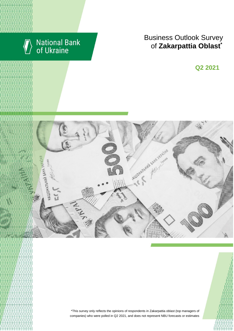

# National Bank<br>of Ukraine

## Business Outlook Survey  $\bullet$  **f** Zakarpattia Oblast<sup>\*</sup>

**Q2 2018 Q2 2021**



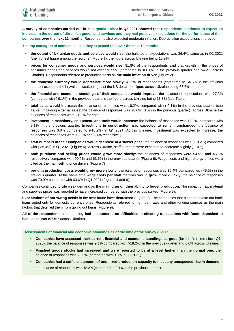**A survey of companies carried out in Zakarpattia oblast in Q2 2021 showed that respondents continued to expect an increase in the output of Ukrainian goods and services and they had positive expectations for the performance of their companies over the next 12 months.** Respondents also expected moderate inflation. Depreciation expectations improved.

**The top managers of companies said they expected that over the next 12 months:**

- **the output of Ukrainian goods and services would rise:** the balance of expectations was 36.4%, same as in Q1 2021 (the highest figure among the regions) (Figure 1), the figure across Ukraine being 15.9%
- **prices for consumer goods and services would rise:** 81.8% of the respondents said that growth in the prices of consumer goods and services would not exceed 7.5% (compared to 100.0% in the previous quarter and 54.2% across Ukraine). Respondents referred to production costs as **the main inflation driver** (Figure 2)
- **the domestic currency would depreciate more slowly:** 45.5% of respondents (compared to 54.5% in the previous quarter) expected the hryvnia to weaken against the US dollar, the figure across Ukraine being 63.6%
- **the financial and economic standings of their companies would improve:** the balance of expectations was 27.3% (compared with (-9.1%) in the previous quarter), the figure across Ukraine being 18.3% (see Table)
- **total sales would increase:** the balance of responses was 18.2%, compared with (-9.1%) in the previous quarter (see Table), including external sales: the balance of responses was 28.6% (0.0% in the previous quarter). Across Ukraine the balances of responses were 21.0% for each
- **investment in machinery, equipment, and tools would increase:** the balance of responses was 18.2%, compared with 9.1% in the previous quarter. **Investment in construction was expected to remain unchanged**: the balance of responses was 0.0% compared to (-18.2%) in Q1 2021. Across Ukraine, investment was expected to increase, the balances of responses were 16.9% and 6.4% respectively
- **staff numbers at their companies would decrease at a slower pace:** the balance of responses was (-18.2%) compared with (-36.4%) in Q1 2021 (Figure 4). Across Ukraine, staff numbers were expected to decrease slightly (-1.0%)
- **both purchase and selling prices would grow more slowly:** the balances of responses were 54.5% and 45.5% respectively compared with 90.9% and 63.6% in the previous quarter (Figure 6). Wage costs and high energy prices were cited as the main selling price drivers (Figure 7)
- **per-unit production costs would grow more slowly:** the balance of responses was 36.4% compared with 45.5% in the previous quarter. At the same time **wage costs per staff member would grow more quickly:** the balance of responses was 70.0% compared with 63.6% in Q1 2021 (Figures 4 and 6).

Companies continued to cite weak demand as **the main drag on their ability to boost production.** The impact of raw material and supplies prices was reported to have increased compared with the previous survey (Figure 5).

**Expectations of borrowing needs** in the near future have **decreased** (Figure 8). The companies that planned to take out bank loans opted only for domestic currency ones. Respondents referred to high loan rates and other funding sources as the main factors that deterred them from taking out loans (Figure 9).

**All of the respondents** said that they **had encountered no difficulties in effecting transactions with funds deposited in bank accounts** (97.5% across Ukraine).

**Assessments of financial and economic standings as of the time of the survey** (Figure 3)

- **Companies have assessed their current financial and economic standings as good** (for the first time since Q1 2020)**:** the balance of responses was 9.1% compared with (-18.2%) in the previous quarter and 6.0% across Ukraine.
- **Finished goods stocks had increased and were reported to be at a level higher than the normal one:** the balance of responses was 20.0% (compared with 0.0% in Q1 2021).
- **Companies had a sufficient amount of unutilized production capacity to meet any unexpected rise in demand:** the balance of responses was 18.2% (compared to 9.1% in the previous quarter).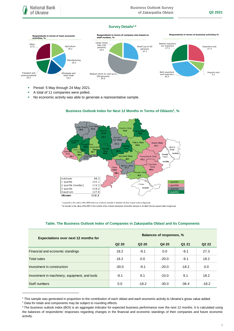## **Survey Details1,2**



- Period: 5 May through 24 May 2021.
- A total of 11 companies were polled.
- No economic activity was able to generate a representative sample.



## **Business Outlook Index for Next 12 Months in Terms of Oblasts 3 , %**

| <b>Expectations over next 12 months for</b>   | <b>Balances of responses, %</b> |         |         |         |                               |
|-----------------------------------------------|---------------------------------|---------|---------|---------|-------------------------------|
|                                               | Q <sub>2</sub> 20               | Q3 20   | Q4 20   | Q1 21   | Q <sub>2</sub> 2 <sub>2</sub> |
| Financial and economic standings              | 18.2                            | $-9.1$  | 0.0     | $-9.1$  | 27.3                          |
| <b>Total sales</b>                            | 18.2                            | 0.0     | $-20.0$ | $-9.1$  | 18.2                          |
| Investment in construction                    | $-30.0$                         | $-9.1$  | $-20.0$ | $-18.2$ | 0.0                           |
| Investment in machinery, equipment, and tools | $-9.1$                          | 9.1     | $-10.0$ | 9.1     | 18.2                          |
| Staff numbers                                 | 0.0                             | $-18.2$ | $-30.0$ | $-36.4$ | $-18.2$                       |

## **Table. The Business Outlook Index of Companies in Zakarpattia Oblast and Its Components**

1

<sup>\*</sup>a quartile is the value of the BOI where an ordered sample is divided into four equal-sized subgroups \*\*a median is the value of the BOI in the middle of an ordered sampled where the sample is divided into two equal-sized subgroups

<sup>1</sup> This sample was generated in proportion to the contribution of each oblast and each economic activity to Ukraine's gross value added.

<sup>2</sup> Data for totals and components may be subject to rounding effects.

<sup>&</sup>lt;sup>3</sup> The business outlook index (BOI) is an aggregate indicator for expected business performance over the next 12 months. It is calculated using the balances of respondents' responses regarding changes in the financial and economic standings of their companies and future economic activity.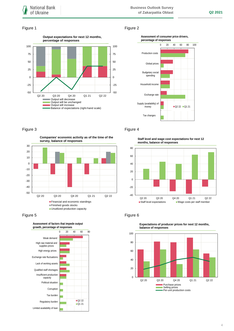## Figure 1 Figure 2





Figure 3 **Figure 4** 

**Companies' economic activity as of the time of the survey, balance of responses**





**Staff level and wage cost expectations for next 12 months, balance of responses**



## Figure 5 **Figure 6**



**Expectations of producer prices for next 12 months, balance of responses**